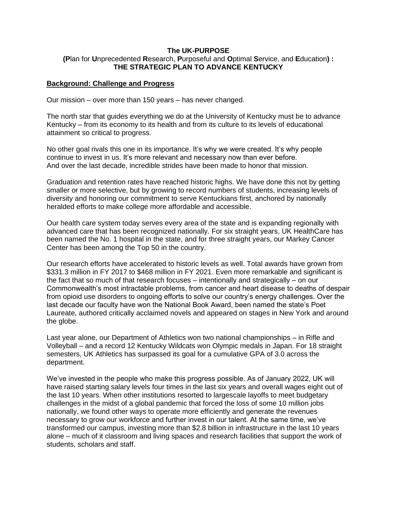## **The UK-PURPOSE (P**lan for **U**nprecedented **R**esearch, **P**urposeful and **O**ptimal **S**ervice, and **E**ducation**) : THE STRATEGIC PLAN TO ADVANCE KENTUCKY**

## **Background: Challenge and Progress**

Our mission – over more than 150 years – has never changed.

The north star that guides everything we do at the University of Kentucky must be to advance Kentucky – from its economy to its health and from its culture to its levels of educational attainment so critical to progress.

No other goal rivals this one in its importance. It's why we were created. It's why people continue to invest in us. It's more relevant and necessary now than ever before. And over the last decade, incredible strides have been made to honor that mission.

Graduation and retention rates have reached historic highs. We have done this not by getting smaller or more selective, but by growing to record numbers of students, increasing levels of diversity and honoring our commitment to serve Kentuckians first, anchored by nationally heralded efforts to make college more affordable and accessible.

Our health care system today serves every area of the state and is expanding regionally with advanced care that has been recognized nationally. For six straight years, UK HealthCare has been named the No. 1 hospital in the state, and for three straight years, our Markey Cancer Center has been among the Top 50 in the country.

Our research efforts have accelerated to historic levels as well. Total awards have grown from \$331.3 million in FY 2017 to \$468 million in FY 2021. Even more remarkable and significant is the fact that so much of that research focuses – intentionally and strategically – on our Commonwealth's most intractable problems, from cancer and heart disease to deaths of despair from opioid use disorders to ongoing efforts to solve our country's energy challenges. Over the last decade our faculty have won the National Book Award, been named the state's Poet Laureate, authored critically acclaimed novels and appeared on stages in New York and around the globe.

Last year alone, our Department of Athletics won two national championships – in Rifle and Volleyball – and a record 12 Kentucky Wildcats won Olympic medals in Japan. For 18 straight semesters, UK Athletics has surpassed its goal for a cumulative GPA of 3.0 across the department.

We've invested in the people who make this progress possible. As of January 2022, UK will have raised starting salary levels four times in the last six years and overall wages eight out of the last 10 years. When other institutions resorted to largescale layoffs to meet budgetary challenges in the midst of a global pandemic that forced the loss of some 10 million jobs nationally, we found other ways to operate more efficiently and generate the revenues necessary to grow our workforce and further invest in our talent. At the same time, we've transformed our campus, investing more than \$2.8 billion in infrastructure in the last 10 years alone – much of it classroom and living spaces and research facilities that support the work of students, scholars and staff.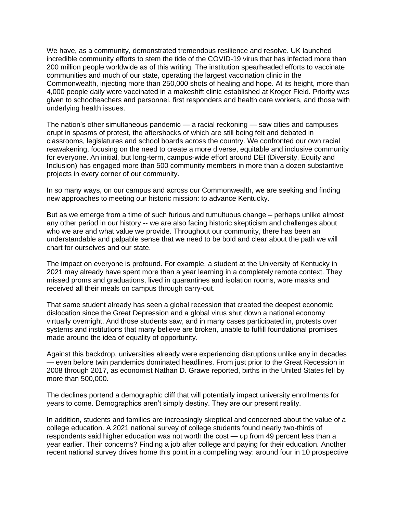We have, as a community, demonstrated tremendous resilience and resolve. UK launched incredible community efforts to stem the tide of the COVID-19 virus that has infected more than 200 million people worldwide as of this writing. The institution spearheaded efforts to vaccinate communities and much of our state, operating the largest vaccination clinic in the Commonwealth, injecting more than 250,000 shots of healing and hope. At its height, more than 4,000 people daily were vaccinated in a makeshift clinic established at Kroger Field. Priority was given to schoolteachers and personnel, first responders and health care workers, and those with underlying health issues.

The nation's other simultaneous pandemic — a racial reckoning — saw cities and campuses erupt in spasms of protest, the aftershocks of which are still being felt and debated in classrooms, legislatures and school boards across the country. We confronted our own racial reawakening, focusing on the need to create a more diverse, equitable and inclusive community for everyone. An initial, but long-term, campus-wide effort around DEI (Diversity, Equity and Inclusion) has engaged more than 500 community members in more than a dozen substantive projects in every corner of our community.

In so many ways, on our campus and across our Commonwealth, we are seeking and finding new approaches to meeting our historic mission: to advance Kentucky.

But as we emerge from a time of such furious and tumultuous change – perhaps unlike almost any other period in our history -- we are also facing historic skepticism and challenges about who we are and what value we provide. Throughout our community, there has been an understandable and palpable sense that we need to be bold and clear about the path we will chart for ourselves and our state.

The impact on everyone is profound. For example, a student at the University of Kentucky in 2021 may already have spent more than a year learning in a completely remote context. They missed proms and graduations, lived in quarantines and isolation rooms, wore masks and received all their meals on campus through carry-out.

That same student already has seen a global recession that created the deepest economic dislocation since the Great Depression and a global virus shut down a national economy virtually overnight. And those students saw, and in many cases participated in, protests over systems and institutions that many believe are broken, unable to fulfill foundational promises made around the idea of equality of opportunity.

Against this backdrop, universities already were experiencing disruptions unlike any in decades — even before twin pandemics dominated headlines. From just prior to the Great Recession in 2008 through 2017, as economist Nathan D. Grawe reported, births in the United States fell by more than 500,000.

The declines portend a demographic cliff that will potentially impact university enrollments for years to come. Demographics aren't simply destiny. They are our present reality.

In addition, students and families are increasingly skeptical and concerned about the value of a college education. A 2021 national survey of college students found nearly two-thirds of respondents said higher education was not worth the cost — up from 49 percent less than a year earlier. Their concerns? Finding a job after college and paying for their education. Another recent national survey drives home this point in a compelling way: around four in 10 prospective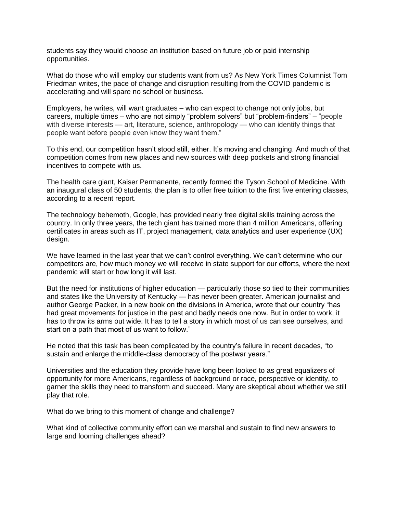students say they would choose an institution based on future job or paid internship opportunities.

What do those who will employ our students want from us? As New York Times Columnist Tom Friedman writes, the pace of change and disruption resulting from the COVID pandemic is accelerating and will spare no school or business.

Employers, he writes, will want graduates – who can expect to change not only jobs, but careers, multiple times – who are not simply "problem solvers" but "problem-finders" – "people with diverse interests — art, literature, science, anthropology — who can identify things that people want before people even know they want them."

To this end, our competition hasn't stood still, either. It's moving and changing. And much of that competition comes from new places and new sources with deep pockets and strong financial incentives to compete with us.

The health care giant, Kaiser Permanente, recently formed the Tyson School of Medicine. With an inaugural class of 50 students, the plan is to offer free tuition to the first five entering classes, according to a recent report.

The technology behemoth, Google, has provided nearly free digital skills training across the country. In only three years, the tech giant has trained more than 4 million Americans, offering certificates in areas such as IT, project management, data analytics and user experience (UX) design.

We have learned in the last year that we can't control everything. We can't determine who our competitors are, how much money we will receive in state support for our efforts, where the next pandemic will start or how long it will last.

But the need for institutions of higher education — particularly those so tied to their communities and states like the University of Kentucky — has never been greater. American journalist and author George Packer, in a new book on the divisions in America, wrote that our country "has had great movements for justice in the past and badly needs one now. But in order to work, it has to throw its arms out wide. It has to tell a story in which most of us can see ourselves, and start on a path that most of us want to follow."

He noted that this task has been complicated by the country's failure in recent decades, "to sustain and enlarge the middle-class democracy of the postwar years."

Universities and the education they provide have long been looked to as great equalizers of opportunity for more Americans, regardless of background or race, perspective or identity, to garner the skills they need to transform and succeed. Many are skeptical about whether we still play that role.

What do we bring to this moment of change and challenge?

What kind of collective community effort can we marshal and sustain to find new answers to large and looming challenges ahead?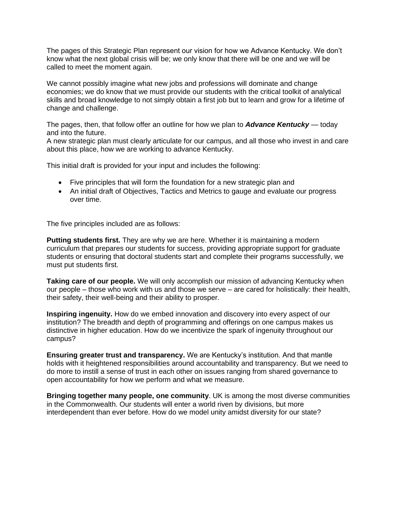The pages of this Strategic Plan represent our vision for how we Advance Kentucky. We don't know what the next global crisis will be; we only know that there will be one and we will be called to meet the moment again.

We cannot possibly imagine what new jobs and professions will dominate and change economies; we do know that we must provide our students with the critical toolkit of analytical skills and broad knowledge to not simply obtain a first job but to learn and grow for a lifetime of change and challenge.

The pages, then, that follow offer an outline for how we plan to *Advance Kentucky* — today and into the future.

A new strategic plan must clearly articulate for our campus, and all those who invest in and care about this place, how we are working to advance Kentucky.

This initial draft is provided for your input and includes the following:

- Five principles that will form the foundation for a new strategic plan and
- An initial draft of Objectives, Tactics and Metrics to gauge and evaluate our progress over time.

The five principles included are as follows:

**Putting students first.** They are why we are here. Whether it is maintaining a modern curriculum that prepares our students for success, providing appropriate support for graduate students or ensuring that doctoral students start and complete their programs successfully, we must put students first.

**Taking care of our people.** We will only accomplish our mission of advancing Kentucky when our people – those who work with us and those we serve – are cared for holistically: their health, their safety, their well-being and their ability to prosper.

**Inspiring ingenuity.** How do we embed innovation and discovery into every aspect of our institution? The breadth and depth of programming and offerings on one campus makes us distinctive in higher education. How do we incentivize the spark of ingenuity throughout our campus?

**Ensuring greater trust and transparency.** We are Kentucky's institution. And that mantle holds with it heightened responsibilities around accountability and transparency. But we need to do more to instill a sense of trust in each other on issues ranging from shared governance to open accountability for how we perform and what we measure.

**Bringing together many people, one community**. UK is among the most diverse communities in the Commonwealth. Our students will enter a world riven by divisions, but more interdependent than ever before. How do we model unity amidst diversity for our state?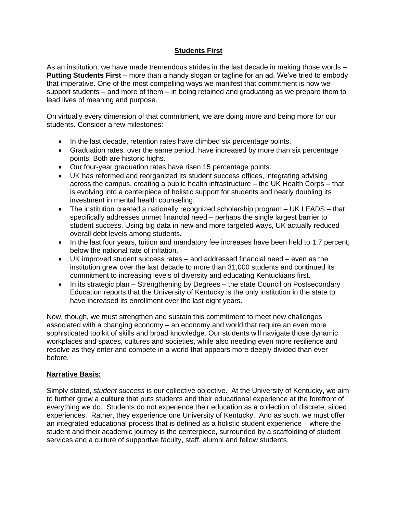# **Students First**

As an institution, we have made tremendous strides in the last decade in making those words – **Putting Students First** – more than a handy slogan or tagline for an ad. We've tried to embody that imperative. One of the most compelling ways we manifest that commitment is how we support students – and more of them – in being retained and graduating as we prepare them to lead lives of meaning and purpose.

On virtually every dimension of that commitment, we are doing more and being more for our students. Consider a few milestones:

- In the last decade, retention rates have climbed six percentage points.
- Graduation rates, over the same period, have increased by more than six percentage points. Both are historic highs.
- Our four-year graduation rates have risen 15 percentage points.
- UK has reformed and reorganized its student success offices, integrating advising across the campus, creating a public health infrastructure – the UK Health Corps – that is evolving into a centerpiece of holistic support for students and nearly doubling its investment in mental health counseling.
- The institution created a nationally recognized scholarship program UK LEADS that specifically addresses unmet financial need – perhaps the single largest barrier to student success. Using big data in new and more targeted ways, UK actually reduced overall debt levels among students**.**
- In the last four years, tuition and mandatory fee increases have been held to 1.7 percent, below the national rate of inflation.
- UK improved student success rates and addressed financial need even as the institution grew over the last decade to more than 31,000 students and continued its commitment to increasing levels of diversity and educating Kentuckians first.
- In its strategic plan Strengthening by Degrees the state Council on Postsecondary Education reports that the University of Kentucky is the only institution in the state to have increased its enrollment over the last eight years.

Now, though, we must strengthen and sustain this commitment to meet new challenges associated with a changing economy – an economy and world that require an even more sophisticated toolkit of skills and broad knowledge. Our students will navigate those dynamic workplaces and spaces, cultures and societies, while also needing even more resilience and resolve as they enter and compete in a world that appears more deeply divided than ever before.

# **Narrative Basis:**

Simply stated, *student success* is our collective objective. At the University of Kentucky, we aim to further grow a **culture** that puts students and their educational experience at the forefront of everything we do. Students do not experience their education as a collection of discrete, siloed experiences. Rather, they experience one University of Kentucky. And as such, we must offer an integrated educational process that is defined as a holistic student experience – where the student and their academic journey is the centerpiece, surrounded by a scaffolding of student services and a culture of supportive faculty, staff, alumni and fellow students.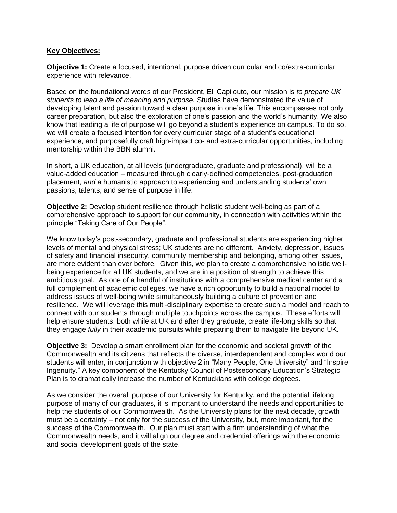## **Key Objectives:**

**Objective 1:** Create a focused, intentional, purpose driven curricular and co/extra-curricular experience with relevance.

Based on the foundational words of our President, Eli Capilouto, our mission is *to prepare UK students to lead a life of meaning and purpose.* Studies have demonstrated the value of developing talent and passion toward a clear purpose in one's life. This encompasses not only career preparation, but also the exploration of one's passion and the world's humanity. We also know that leading a life of purpose will go beyond a student's experience on campus. To do so, we will create a focused intention for every curricular stage of a student's educational experience, and purposefully craft high-impact co- and extra-curricular opportunities, including mentorship within the BBN alumni.

In short, a UK education, at all levels (undergraduate, graduate and professional), will be a value-added education – measured through clearly-defined competencies, post-graduation placement, *and* a humanistic approach to experiencing and understanding students' own passions, talents, and sense of purpose in life.

**Objective 2:** Develop student resilience through holistic student well-being as part of a comprehensive approach to support for our community, in connection with activities within the principle "Taking Care of Our People".

We know today's post-secondary, graduate and professional students are experiencing higher levels of mental and physical stress; UK students are no different. Anxiety, depression, issues of safety and financial insecurity, community membership and belonging, among other issues, are more evident than ever before. Given this, we plan to create a comprehensive holistic wellbeing experience for all UK students, and we are in a position of strength to achieve this ambitious goal. As one of a handful of institutions with a comprehensive medical center and a full complement of academic colleges, we have a rich opportunity to build a national model to address issues of well-being while simultaneously building a culture of prevention and resilience. We will leverage this multi-disciplinary expertise to create such a model and reach to connect with our students through multiple touchpoints across the campus. These efforts will help ensure students, both while at UK and after they graduate, create life-long skills so that they engage *fully* in their academic pursuits while preparing them to navigate life beyond UK.

**Objective 3:** Develop a smart enrollment plan for the economic and societal growth of the Commonwealth and its citizens that reflects the diverse, interdependent and complex world our students will enter, in conjunction with objective 2 in "Many People, One University" and "Inspire Ingenuity." A key component of the Kentucky Council of Postsecondary Education's Strategic Plan is to dramatically increase the number of Kentuckians with college degrees.

As we consider the overall purpose of our University for Kentucky, and the potential lifelong purpose of many of our graduates, it is important to understand the needs and opportunities to help the students of our Commonwealth. As the University plans for the next decade, growth must be a certainty – not only for the success of the University, but, more important, for the success of the Commonwealth. Our plan must start with a firm understanding of what the Commonwealth needs, and it will align our degree and credential offerings with the economic and social development goals of the state.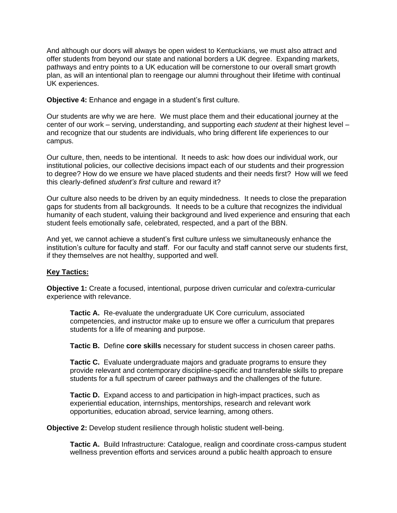And although our doors will always be open widest to Kentuckians, we must also attract and offer students from beyond our state and national borders a UK degree. Expanding markets, pathways and entry points to a UK education will be cornerstone to our overall smart growth plan, as will an intentional plan to reengage our alumni throughout their lifetime with continual UK experiences.

**Objective 4:** Enhance and engage in a student's first culture.

Our students are why we are here. We must place them and their educational journey at the center of our work – serving, understanding, and supporting *each student* at their highest level – and recognize that our students are individuals, who bring different life experiences to our campus.

Our culture, then, needs to be intentional. It needs to ask: how does our individual work, our institutional policies, our collective decisions impact each of our students and their progression to degree? How do we ensure we have placed students and their needs first? How will we feed this clearly-defined *student's first* culture and reward it?

Our culture also needs to be driven by an equity mindedness. It needs to close the preparation gaps for students from all backgrounds. It needs to be a culture that recognizes the individual humanity of each student, valuing their background and lived experience and ensuring that each student feels emotionally safe, celebrated, respected, and a part of the BBN.

And yet, we cannot achieve a student's first culture unless we simultaneously enhance the institution's culture for faculty and staff. For our faculty and staff cannot serve our students first, if they themselves are not healthy, supported and well.

# **Key Tactics:**

**Objective 1:** Create a focused, intentional, purpose driven curricular and co/extra-curricular experience with relevance.

**Tactic A.** Re-evaluate the undergraduate UK Core curriculum, associated competencies, and instructor make up to ensure we offer a curriculum that prepares students for a life of meaning and purpose.

**Tactic B.** Define **core skills** necessary for student success in chosen career paths.

**Tactic C.** Evaluate undergraduate majors and graduate programs to ensure they provide relevant and contemporary discipline-specific and transferable skills to prepare students for a full spectrum of career pathways and the challenges of the future.

**Tactic D.** Expand access to and participation in high-impact practices, such as experiential education, internships, mentorships, research and relevant work opportunities, education abroad, service learning, among others.

**Objective 2:** Develop student resilience through holistic student well-being.

**Tactic A.** Build Infrastructure: Catalogue, realign and coordinate cross-campus student wellness prevention efforts and services around a public health approach to ensure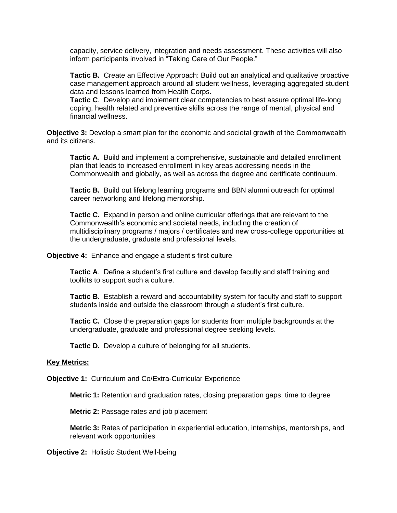capacity, service delivery, integration and needs assessment. These activities will also inform participants involved in "Taking Care of Our People."

**Tactic B.** Create an Effective Approach: Build out an analytical and qualitative proactive case management approach around all student wellness, leveraging aggregated student data and lessons learned from Health Corps.

**Tactic C**. Develop and implement clear competencies to best assure optimal life-long coping, health related and preventive skills across the range of mental, physical and financial wellness.

**Objective 3:** Develop a smart plan for the economic and societal growth of the Commonwealth and its citizens.

**Tactic A.** Build and implement a comprehensive, sustainable and detailed enrollment plan that leads to increased enrollment in key areas addressing needs in the Commonwealth and globally, as well as across the degree and certificate continuum.

**Tactic B.** Build out lifelong learning programs and BBN alumni outreach for optimal career networking and lifelong mentorship.

**Tactic C.** Expand in person and online curricular offerings that are relevant to the Commonwealth's economic and societal needs, including the creation of multidisciplinary programs / majors / certificates and new cross-college opportunities at the undergraduate, graduate and professional levels.

**Objective 4:** Enhance and engage a student's first culture

**Tactic A**. Define a student's first culture and develop faculty and staff training and toolkits to support such a culture.

**Tactic B.** Establish a reward and accountability system for faculty and staff to support students inside and outside the classroom through a student's first culture.

**Tactic C.** Close the preparation gaps for students from multiple backgrounds at the undergraduate, graduate and professional degree seeking levels.

**Tactic D.** Develop a culture of belonging for all students.

#### **Key Metrics:**

**Objective 1:** Curriculum and Co/Extra-Curricular Experience

**Metric 1:** Retention and graduation rates, closing preparation gaps, time to degree

**Metric 2:** Passage rates and job placement

**Metric 3:** Rates of participation in experiential education, internships, mentorships, and relevant work opportunities

**Objective 2:** Holistic Student Well-being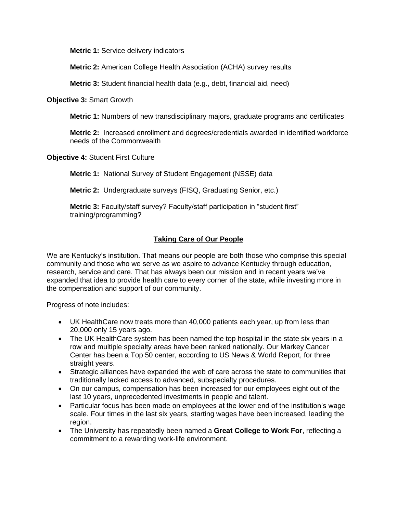**Metric 1:** Service delivery indicators

**Metric 2:** American College Health Association (ACHA) survey results

**Metric 3:** Student financial health data (e.g., debt, financial aid, need)

**Objective 3:** Smart Growth

**Metric 1:** Numbers of new transdisciplinary majors, graduate programs and certificates

**Metric 2:** Increased enrollment and degrees/credentials awarded in identified workforce needs of the Commonwealth

**Objective 4:** Student First Culture

**Metric 1:** National Survey of Student Engagement (NSSE) data

**Metric 2:** Undergraduate surveys (FISQ, Graduating Senior, etc.)

**Metric 3:** Faculty/staff survey? Faculty/staff participation in "student first" training/programming?

# **Taking Care of Our People**

We are Kentucky's institution. That means our people are both those who comprise this special community and those who we serve as we aspire to advance Kentucky through education, research, service and care. That has always been our mission and in recent years we've expanded that idea to provide health care to every corner of the state, while investing more in the compensation and support of our community.

Progress of note includes:

- UK HealthCare now treats more than 40,000 patients each year, up from less than 20,000 only 15 years ago.
- The UK HealthCare system has been named the top hospital in the state six years in a row and multiple specialty areas have been ranked nationally. Our Markey Cancer Center has been a Top 50 center, according to US News & World Report, for three straight years.
- Strategic alliances have expanded the web of care across the state to communities that traditionally lacked access to advanced, subspecialty procedures.
- On our campus, compensation has been increased for our employees eight out of the last 10 years, unprecedented investments in people and talent.
- Particular focus has been made on employees at the lower end of the institution's wage scale. Four times in the last six years, starting wages have been increased, leading the region.
- The University has repeatedly been named a **Great College to Work For**, reflecting a commitment to a rewarding work-life environment.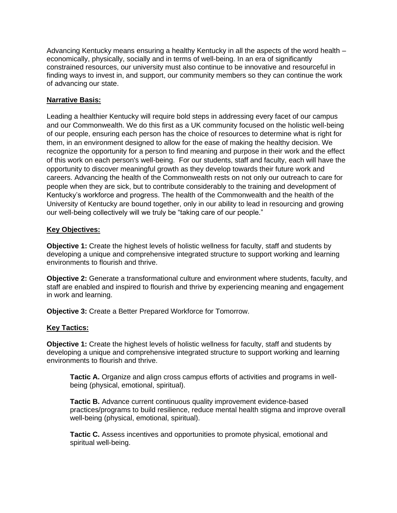Advancing Kentucky means ensuring a healthy Kentucky in all the aspects of the word health – economically, physically, socially and in terms of well-being. In an era of significantly constrained resources, our university must also continue to be innovative and resourceful in finding ways to invest in, and support, our community members so they can continue the work of advancing our state.

# **Narrative Basis:**

Leading a healthier Kentucky will require bold steps in addressing every facet of our campus and our Commonwealth. We do this first as a UK community focused on the holistic well-being of our people, ensuring each person has the choice of resources to determine what is right for them, in an environment designed to allow for the ease of making the healthy decision. We recognize the opportunity for a person to find meaning and purpose in their work and the effect of this work on each person's well-being. For our students, staff and faculty, each will have the opportunity to discover meaningful growth as they develop towards their future work and careers. Advancing the health of the Commonwealth rests on not only our outreach to care for people when they are sick, but to contribute considerably to the training and development of Kentucky's workforce and progress. The health of the Commonwealth and the health of the University of Kentucky are bound together, only in our ability to lead in resourcing and growing our well-being collectively will we truly be "taking care of our people."

# **Key Objectives:**

**Objective 1:** Create the highest levels of holistic wellness for faculty, staff and students by developing a unique and comprehensive integrated structure to support working and learning environments to flourish and thrive.

**Objective 2:** Generate a transformational culture and environment where students, faculty, and staff are enabled and inspired to flourish and thrive by experiencing meaning and engagement in work and learning.

**Objective 3:** Create a Better Prepared Workforce for Tomorrow.

# **Key Tactics:**

**Objective 1:** Create the highest levels of holistic wellness for faculty, staff and students by developing a unique and comprehensive integrated structure to support working and learning environments to flourish and thrive.

**Tactic A.** Organize and align cross campus efforts of activities and programs in wellbeing (physical, emotional, spiritual).

**Tactic B.** Advance current continuous quality improvement evidence-based practices/programs to build resilience, reduce mental health stigma and improve overall well-being (physical, emotional, spiritual).

**Tactic C.** Assess incentives and opportunities to promote physical, emotional and spiritual well-being.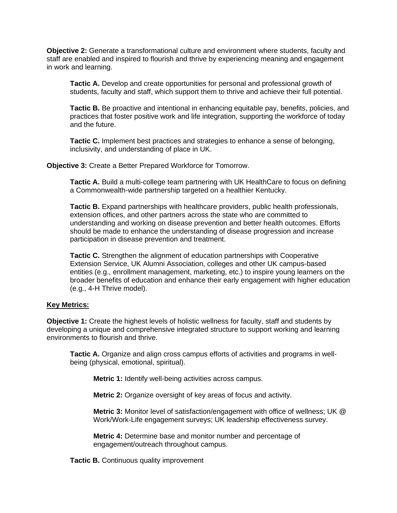**Objective 2:** Generate a transformational culture and environment where students, faculty and staff are enabled and inspired to flourish and thrive by experiencing meaning and engagement in work and learning.

**Tactic A.** Develop and create opportunities for personal and professional growth of students, faculty and staff, which support them to thrive and achieve their full potential.

**Tactic B.** Be proactive and intentional in enhancing equitable pay, benefits, policies, and practices that foster positive work and life integration, supporting the workforce of today and the future.

**Tactic C.** Implement best practices and strategies to enhance a sense of belonging, inclusivity, and understanding of place in UK.

**Objective 3:** Create a Better Prepared Workforce for Tomorrow.

**Tactic A.** Build a multi-college team partnering with UK HealthCare to focus on defining a Commonwealth-wide partnership targeted on a healthier Kentucky.

**Tactic B.** Expand partnerships with healthcare providers, public health professionals, extension offices, and other partners across the state who are committed to understanding and working on disease prevention and better health outcomes. Efforts should be made to enhance the understanding of disease progression and increase participation in disease prevention and treatment.

**Tactic C.** Strengthen the alignment of education partnerships with Cooperative Extension Service, UK Alumni Association, colleges and other UK campus-based entities (e.g., enrollment management, marketing, etc.) to inspire young learners on the broader benefits of education and enhance their early engagement with higher education (e.g., 4-H Thrive model).

#### **Key Metrics:**

**Objective 1:** Create the highest levels of holistic wellness for faculty, staff and students by developing a unique and comprehensive integrated structure to support working and learning environments to flourish and thrive.

**Tactic A.** Organize and align cross campus efforts of activities and programs in wellbeing (physical, emotional, spiritual).

**Metric 1:** Identify well-being activities across campus.

**Metric 2:** Organize oversight of key areas of focus and activity.

**Metric 3:** Monitor level of satisfaction/engagement with office of wellness; UK @ Work/Work-Life engagement surveys; UK leadership effectiveness survey.

**Metric 4:** Determine base and monitor number and percentage of engagement/outreach throughout campus.

**Tactic B.** Continuous quality improvement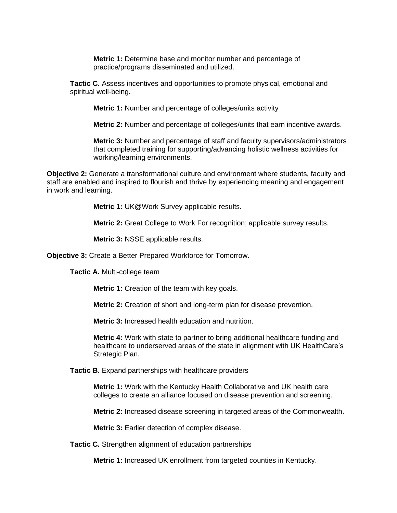**Metric 1:** Determine base and monitor number and percentage of practice/programs disseminated and utilized.

**Tactic C.** Assess incentives and opportunities to promote physical, emotional and spiritual well-being.

**Metric 1:** Number and percentage of colleges/units activity

**Metric 2:** Number and percentage of colleges/units that earn incentive awards.

**Metric 3:** Number and percentage of staff and faculty supervisors/administrators that completed training for supporting/advancing holistic wellness activities for working/learning environments.

**Objective 2:** Generate a transformational culture and environment where students, faculty and staff are enabled and inspired to flourish and thrive by experiencing meaning and engagement in work and learning.

**Metric 1:** UK@Work Survey applicable results.

**Metric 2:** Great College to Work For recognition; applicable survey results.

**Metric 3:** NSSE applicable results.

**Objective 3:** Create a Better Prepared Workforce for Tomorrow.

**Tactic A.** Multi-college team

**Metric 1:** Creation of the team with key goals.

**Metric 2:** Creation of short and long-term plan for disease prevention.

**Metric 3:** Increased health education and nutrition.

**Metric 4:** Work with state to partner to bring additional healthcare funding and healthcare to underserved areas of the state in alignment with UK HealthCare's Strategic Plan.

**Tactic B.** Expand partnerships with healthcare providers

**Metric 1:** Work with the Kentucky Health Collaborative and UK health care colleges to create an alliance focused on disease prevention and screening.

**Metric 2:** Increased disease screening in targeted areas of the Commonwealth.

**Metric 3:** Earlier detection of complex disease.

**Tactic C.** Strengthen alignment of education partnerships

**Metric 1:** Increased UK enrollment from targeted counties in Kentucky.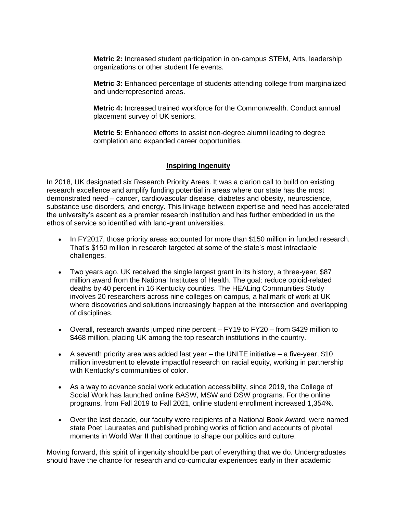**Metric 2:** Increased student participation in on-campus STEM, Arts, leadership organizations or other student life events.

**Metric 3:** Enhanced percentage of students attending college from marginalized and underrepresented areas.

**Metric 4:** Increased trained workforce for the Commonwealth. Conduct annual placement survey of UK seniors.

**Metric 5:** Enhanced efforts to assist non-degree alumni leading to degree completion and expanded career opportunities.

## **Inspiring Ingenuity**

In 2018, UK designated six Research Priority Areas. It was a clarion call to build on existing research excellence and amplify funding potential in areas where our state has the most demonstrated need – cancer, cardiovascular disease, diabetes and obesity, neuroscience, substance use disorders, and energy. This linkage between expertise and need has accelerated the university's ascent as a premier research institution and has further embedded in us the ethos of service so identified with land-grant universities.

- In FY2017, those priority areas accounted for more than \$150 million in funded research. That's \$150 million in research targeted at some of the state's most intractable challenges.
- Two years ago, UK received the single largest grant in its history, a three-year, \$87 million award from the National Institutes of Health. The goal: reduce opioid-related deaths by 40 percent in 16 Kentucky counties. The HEALing Communities Study involves 20 researchers across nine colleges on campus, a hallmark of work at UK where discoveries and solutions increasingly happen at the intersection and overlapping of disciplines.
- Overall, research awards jumped nine percent FY19 to FY20 from \$429 million to \$468 million, placing UK among the top research institutions in the country.
- A seventh priority area was added last year  $-$  the UNITE initiative  $-$  a five-year, \$10 million investment to elevate impactful research on racial equity, working in partnership with Kentucky's communities of color.
- As a way to advance social work education accessibility, since 2019, the College of Social Work has launched online BASW, MSW and DSW programs. For the online programs, from Fall 2019 to Fall 2021, online student enrollment increased 1,354%.
- Over the last decade, our faculty were recipients of a National Book Award, were named state Poet Laureates and published probing works of fiction and accounts of pivotal moments in World War II that continue to shape our politics and culture.

Moving forward, this spirit of ingenuity should be part of everything that we do. Undergraduates should have the chance for research and co-curricular experiences early in their academic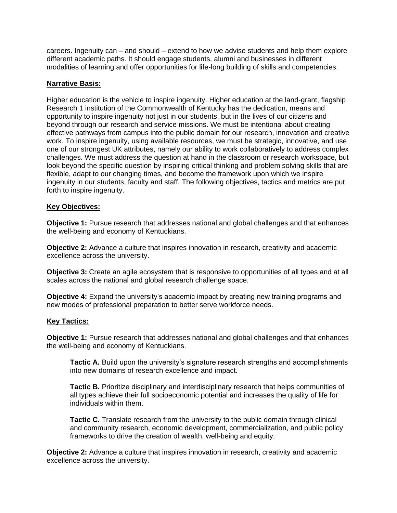careers. Ingenuity can – and should – extend to how we advise students and help them explore different academic paths. It should engage students, alumni and businesses in different modalities of learning and offer opportunities for life-long building of skills and competencies.

# **Narrative Basis:**

Higher education is the vehicle to inspire ingenuity. Higher education at the land-grant, flagship Research 1 institution of the Commonwealth of Kentucky has the dedication, means and opportunity to inspire ingenuity not just in our students, but in the lives of our citizens and beyond through our research and service missions. We must be intentional about creating effective pathways from campus into the public domain for our research, innovation and creative work. To inspire ingenuity, using available resources, we must be strategic, innovative, and use one of our strongest UK attributes, namely our ability to work collaboratively to address complex challenges. We must address the question at hand in the classroom or research workspace, but look beyond the specific question by inspiring critical thinking and problem solving skills that are flexible, adapt to our changing times, and become the framework upon which we inspire ingenuity in our students, faculty and staff. The following objectives, tactics and metrics are put forth to inspire ingenuity.

## **Key Objectives:**

**Objective 1:** Pursue research that addresses national and global challenges and that enhances the well-being and economy of Kentuckians.

**Objective 2:** Advance a culture that inspires innovation in research, creativity and academic excellence across the university.

**Objective 3:** Create an agile ecosystem that is responsive to opportunities of all types and at all scales across the national and global research challenge space.

**Objective 4:** Expand the university's academic impact by creating new training programs and new modes of professional preparation to better serve workforce needs.

## **Key Tactics:**

**Objective 1:** Pursue research that addresses national and global challenges and that enhances the well-being and economy of Kentuckians.

**Tactic A.** Build upon the university's signature research strengths and accomplishments into new domains of research excellence and impact.

**Tactic B.** Prioritize disciplinary and interdisciplinary research that helps communities of all types achieve their full socioeconomic potential and increases the quality of life for individuals within them.

**Tactic C.** Translate research from the university to the public domain through clinical and community research, economic development, commercialization, and public policy frameworks to drive the creation of wealth, well-being and equity.

**Objective 2:** Advance a culture that inspires innovation in research, creativity and academic excellence across the university.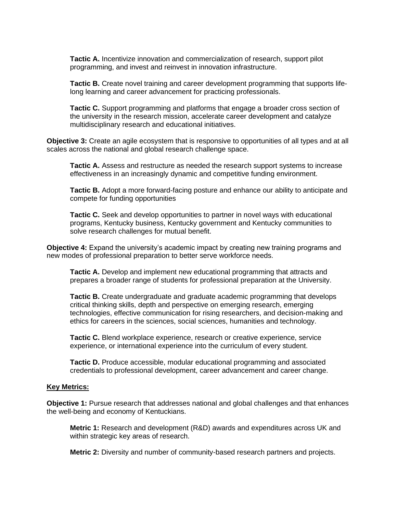**Tactic A.** Incentivize innovation and commercialization of research, support pilot programming, and invest and reinvest in innovation infrastructure.

**Tactic B.** Create novel training and career development programming that supports lifelong learning and career advancement for practicing professionals.

**Tactic C.** Support programming and platforms that engage a broader cross section of the university in the research mission, accelerate career development and catalyze multidisciplinary research and educational initiatives.

**Objective 3:** Create an agile ecosystem that is responsive to opportunities of all types and at all scales across the national and global research challenge space.

**Tactic A.** Assess and restructure as needed the research support systems to increase effectiveness in an increasingly dynamic and competitive funding environment.

**Tactic B.** Adopt a more forward-facing posture and enhance our ability to anticipate and compete for funding opportunities

**Tactic C.** Seek and develop opportunities to partner in novel ways with educational programs, Kentucky business, Kentucky government and Kentucky communities to solve research challenges for mutual benefit.

**Objective 4:** Expand the university's academic impact by creating new training programs and new modes of professional preparation to better serve workforce needs.

**Tactic A.** Develop and implement new educational programming that attracts and prepares a broader range of students for professional preparation at the University.

**Tactic B.** Create undergraduate and graduate academic programming that develops critical thinking skills, depth and perspective on emerging research, emerging technologies, effective communication for rising researchers, and decision-making and ethics for careers in the sciences, social sciences, humanities and technology.

**Tactic C.** Blend workplace experience, research or creative experience, service experience, or international experience into the curriculum of every student.

**Tactic D.** Produce accessible, modular educational programming and associated credentials to professional development, career advancement and career change.

#### **Key Metrics:**

**Objective 1:** Pursue research that addresses national and global challenges and that enhances the well-being and economy of Kentuckians.

**Metric 1:** Research and development (R&D) awards and expenditures across UK and within strategic key areas of research.

**Metric 2:** Diversity and number of community-based research partners and projects.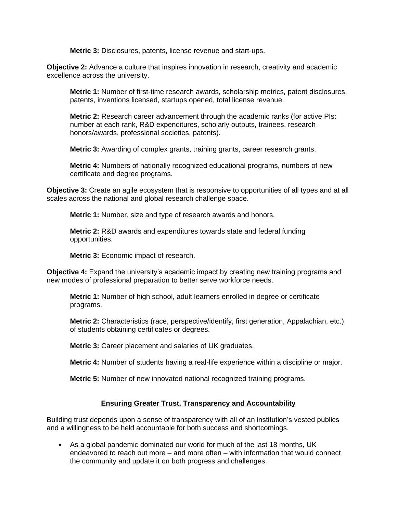**Metric 3:** Disclosures, patents, license revenue and start-ups.

**Objective 2:** Advance a culture that inspires innovation in research, creativity and academic excellence across the university.

**Metric 1:** Number of first-time research awards, scholarship metrics, patent disclosures, patents, inventions licensed, startups opened, total license revenue.

**Metric 2:** Research career advancement through the academic ranks (for active PIs: number at each rank, R&D expenditures, scholarly outputs, trainees, research honors/awards, professional societies, patents).

**Metric 3:** Awarding of complex grants, training grants, career research grants.

**Metric 4:** Numbers of nationally recognized educational programs, numbers of new certificate and degree programs.

**Objective 3:** Create an agile ecosystem that is responsive to opportunities of all types and at all scales across the national and global research challenge space.

**Metric 1:** Number, size and type of research awards and honors.

**Metric 2:** R&D awards and expenditures towards state and federal funding opportunities.

**Metric 3:** Economic impact of research.

**Objective 4:** Expand the university's academic impact by creating new training programs and new modes of professional preparation to better serve workforce needs.

**Metric 1:** Number of high school, adult learners enrolled in degree or certificate programs.

**Metric 2:** Characteristics (race, perspective/identify, first generation, Appalachian, etc.) of students obtaining certificates or degrees.

**Metric 3:** Career placement and salaries of UK graduates.

**Metric 4:** Number of students having a real-life experience within a discipline or major.

**Metric 5:** Number of new innovated national recognized training programs.

# **Ensuring Greater Trust, Transparency and Accountability**

Building trust depends upon a sense of transparency with all of an institution's vested publics and a willingness to be held accountable for both success and shortcomings.

• As a global pandemic dominated our world for much of the last 18 months, UK endeavored to reach out more – and more often – with information that would connect the community and update it on both progress and challenges.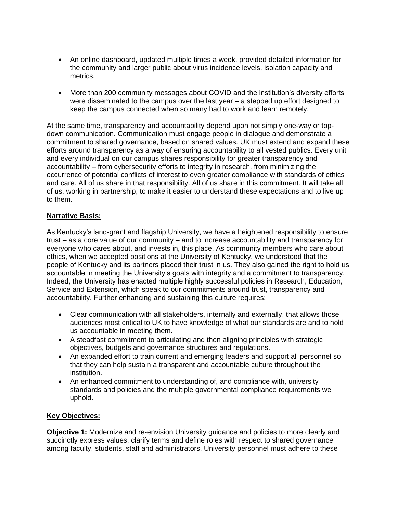- An online dashboard, updated multiple times a week, provided detailed information for the community and larger public about virus incidence levels, isolation capacity and metrics.
- More than 200 community messages about COVID and the institution's diversity efforts were disseminated to the campus over the last year – a stepped up effort designed to keep the campus connected when so many had to work and learn remotely.

At the same time, transparency and accountability depend upon not simply one-way or topdown communication. Communication must engage people in dialogue and demonstrate a commitment to shared governance, based on shared values. UK must extend and expand these efforts around transparency as a way of ensuring accountability to all vested publics. Every unit and every individual on our campus shares responsibility for greater transparency and accountability – from cybersecurity efforts to integrity in research, from minimizing the occurrence of potential conflicts of interest to even greater compliance with standards of ethics and care. All of us share in that responsibility. All of us share in this commitment. It will take all of us, working in partnership, to make it easier to understand these expectations and to live up to them.

# **Narrative Basis:**

As Kentucky's land-grant and flagship University, we have a heightened responsibility to ensure trust – as a core value of our community – and to increase accountability and transparency for everyone who cares about, and invests in, this place. As community members who care about ethics, when we accepted positions at the University of Kentucky, we understood that the people of Kentucky and its partners placed their trust in us. They also gained the right to hold us accountable in meeting the University's goals with integrity and a commitment to transparency. Indeed, the University has enacted multiple highly successful policies in Research, Education, Service and Extension, which speak to our commitments around trust, transparency and accountability. Further enhancing and sustaining this culture requires:

- Clear communication with all stakeholders, internally and externally, that allows those audiences most critical to UK to have knowledge of what our standards are and to hold us accountable in meeting them.
- A steadfast commitment to articulating and then aligning principles with strategic objectives, budgets and governance structures and regulations.
- An expanded effort to train current and emerging leaders and support all personnel so that they can help sustain a transparent and accountable culture throughout the institution.
- An enhanced commitment to understanding of, and compliance with, university standards and policies and the multiple governmental compliance requirements we uphold.

# **Key Objectives:**

**Objective 1:** Modernize and re-envision University guidance and policies to more clearly and succinctly express values, clarify terms and define roles with respect to shared governance among faculty, students, staff and administrators. University personnel must adhere to these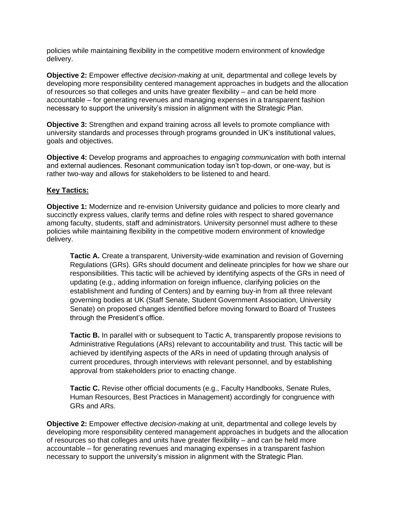policies while maintaining flexibility in the competitive modern environment of knowledge delivery.

**Objective 2:** Empower effective *decision-making* at unit, departmental and college levels by developing more responsibility centered management approaches in budgets and the allocation of resources so that colleges and units have greater flexibility – and can be held more accountable – for generating revenues and managing expenses in a transparent fashion necessary to support the university's mission in alignment with the Strategic Plan.

**Objective 3:** Strengthen and expand training across all levels to promote compliance with university standards and processes through programs grounded in UK's institutional values, goals and objectives.

**Objective 4:** Develop programs and approaches to *engaging communication* with both internal and external audiences. Resonant communication today isn't top-down, or one-way, but is rather two-way and allows for stakeholders to be listened to and heard.

# **Key Tactics:**

**Objective 1:** Modernize and re-envision University guidance and policies to more clearly and succinctly express values, clarify terms and define roles with respect to shared governance among faculty, students, staff and administrators. University personnel must adhere to these policies while maintaining flexibility in the competitive modern environment of knowledge delivery.

**Tactic A.** Create a transparent, University-wide examination and revision of Governing Regulations (GRs). GRs should document and delineate principles for how we share our responsibilities. This tactic will be achieved by identifying aspects of the GRs in need of updating (e.g., adding information on foreign influence, clarifying policies on the establishment and funding of Centers) and by earning buy-in from all three relevant governing bodies at UK (Staff Senate, Student Government Association, University Senate) on proposed changes identified before moving forward to Board of Trustees through the President's office.

**Tactic B.** In parallel with or subsequent to Tactic A, transparently propose revisions to Administrative Regulations (ARs) relevant to accountability and trust. This tactic will be achieved by identifying aspects of the ARs in need of updating through analysis of current procedures, through interviews with relevant personnel, and by establishing approval from stakeholders prior to enacting change.

**Tactic C.** Revise other official documents (e.g., Faculty Handbooks, Senate Rules, Human Resources, Best Practices in Management) accordingly for congruence with GRs and ARs.

**Objective 2:** Empower effective *decision-making* at unit, departmental and college levels by developing more responsibility centered management approaches in budgets and the allocation of resources so that colleges and units have greater flexibility – and can be held more accountable – for generating revenues and managing expenses in a transparent fashion necessary to support the university's mission in alignment with the Strategic Plan.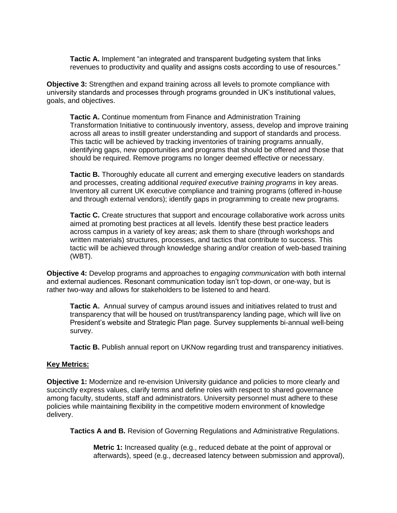**Tactic A.** Implement "an integrated and transparent budgeting system that links revenues to productivity and quality and assigns costs according to use of resources."

**Objective 3:** Strengthen and expand training across all levels to promote compliance with university standards and processes through programs grounded in UK's institutional values, goals, and objectives.

**Tactic A.** Continue momentum from Finance and Administration Training Transformation Initiative to continuously inventory, assess, develop and improve training across all areas to instill greater understanding and support of standards and process. This tactic will be achieved by tracking inventories of training programs annually, identifying gaps, new opportunities and programs that should be offered and those that should be required. Remove programs no longer deemed effective or necessary.

**Tactic B.** Thoroughly educate all current and emerging executive leaders on standards and processes, creating additional *required executive training programs* in key areas. Inventory all current UK executive compliance and training programs (offered in-house and through external vendors); identify gaps in programming to create new programs.

**Tactic C.** Create structures that support and encourage collaborative work across units aimed at promoting best practices at all levels. Identify these best practice leaders across campus in a variety of key areas; ask them to share (through workshops and written materials) structures, processes, and tactics that contribute to success. This tactic will be achieved through knowledge sharing and/or creation of web-based training (WBT).

**Objective 4:** Develop programs and approaches to *engaging communication* with both internal and external audiences. Resonant communication today isn't top-down, or one-way, but is rather two-way and allows for stakeholders to be listened to and heard.

**Tactic A.** Annual survey of campus around issues and initiatives related to trust and transparency that will be housed on trust/transparency landing page, which will live on President's website and Strategic Plan page. Survey supplements bi-annual well-being survey.

**Tactic B.** Publish annual report on UKNow regarding trust and transparency initiatives.

## **Key Metrics:**

**Objective 1:** Modernize and re-envision University guidance and policies to more clearly and succinctly express values, clarify terms and define roles with respect to shared governance among faculty, students, staff and administrators. University personnel must adhere to these policies while maintaining flexibility in the competitive modern environment of knowledge delivery.

**Tactics A and B.** Revision of Governing Regulations and Administrative Regulations.

**Metric 1:** Increased quality (e.g., reduced debate at the point of approval or afterwards), speed (e.g., decreased latency between submission and approval),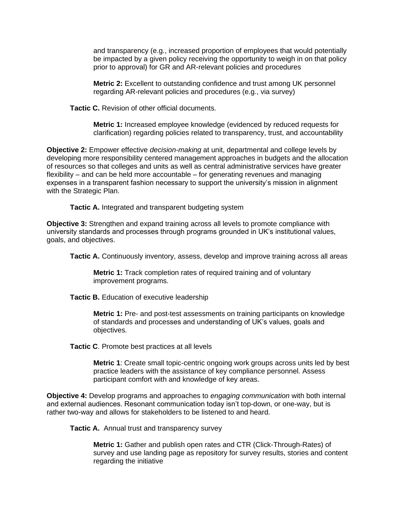and transparency (e.g., increased proportion of employees that would potentially be impacted by a given policy receiving the opportunity to weigh in on that policy prior to approval) for GR and AR-relevant policies and procedures

**Metric 2:** Excellent to outstanding confidence and trust among UK personnel regarding AR-relevant policies and procedures (e.g., via survey)

**Tactic C.** Revision of other official documents.

**Metric 1:** Increased employee knowledge (evidenced by reduced requests for clarification) regarding policies related to transparency, trust, and accountability

**Objective 2:** Empower effective *decision-making* at unit, departmental and college levels by developing more responsibility centered management approaches in budgets and the allocation of resources so that colleges and units as well as central administrative services have greater flexibility – and can be held more accountable – for generating revenues and managing expenses in a transparent fashion necessary to support the university's mission in alignment with the Strategic Plan.

**Tactic A.** Integrated and transparent budgeting system

**Objective 3:** Strengthen and expand training across all levels to promote compliance with university standards and processes through programs grounded in UK's institutional values, goals, and objectives.

Tactic A. Continuously inventory, assess, develop and improve training across all areas

**Metric 1:** Track completion rates of required training and of voluntary improvement programs.

**Tactic B.** Education of executive leadership

**Metric 1:** Pre- and post-test assessments on training participants on knowledge of standards and processes and understanding of UK's values, goals and objectives.

**Tactic C**. Promote best practices at all levels

**Metric 1**: Create small topic-centric ongoing work groups across units led by best practice leaders with the assistance of key compliance personnel. Assess participant comfort with and knowledge of key areas.

**Objective 4:** Develop programs and approaches to *engaging communication* with both internal and external audiences. Resonant communication today isn't top-down, or one-way, but is rather two-way and allows for stakeholders to be listened to and heard.

**Tactic A.** Annual trust and transparency survey

**Metric 1:** Gather and publish open rates and CTR (Click-Through-Rates) of survey and use landing page as repository for survey results, stories and content regarding the initiative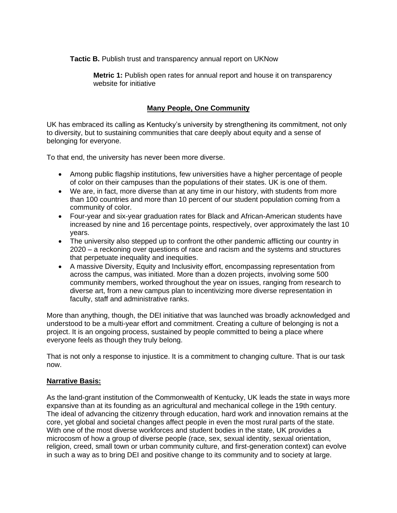**Tactic B.** Publish trust and transparency annual report on UKNow

**Metric 1:** Publish open rates for annual report and house it on transparency website for initiative

# **Many People, One Community**

UK has embraced its calling as Kentucky's university by strengthening its commitment, not only to diversity, but to sustaining communities that care deeply about equity and a sense of belonging for everyone.

To that end, the university has never been more diverse.

- Among public flagship institutions, few universities have a higher percentage of people of color on their campuses than the populations of their states. UK is one of them.
- We are, in fact, more diverse than at any time in our history, with students from more than 100 countries and more than 10 percent of our student population coming from a community of color.
- Four-year and six-year graduation rates for Black and African-American students have increased by nine and 16 percentage points, respectively, over approximately the last 10 years.
- The university also stepped up to confront the other pandemic afflicting our country in 2020 – a reckoning over questions of race and racism and the systems and structures that perpetuate inequality and inequities.
- A massive Diversity, Equity and Inclusivity effort, encompassing representation from across the campus, was initiated. More than a dozen projects, involving some 500 community members, worked throughout the year on issues, ranging from research to diverse art, from a new campus plan to incentivizing more diverse representation in faculty, staff and administrative ranks.

More than anything, though, the DEI initiative that was launched was broadly acknowledged and understood to be a multi-year effort and commitment. Creating a culture of belonging is not a project. It is an ongoing process, sustained by people committed to being a place where everyone feels as though they truly belong.

That is not only a response to injustice. It is a commitment to changing culture. That is our task now.

# **Narrative Basis:**

As the land-grant institution of the Commonwealth of Kentucky, UK leads the state in ways more expansive than at its founding as an agricultural and mechanical college in the 19th century. The ideal of advancing the citizenry through education, hard work and innovation remains at the core, yet global and societal changes affect people in even the most rural parts of the state. With one of the most diverse workforces and student bodies in the state, UK provides a microcosm of how a group of diverse people (race, sex, sexual identity, sexual orientation, religion, creed, small town or urban community culture, and first-generation context) can evolve in such a way as to bring DEI and positive change to its community and to society at large.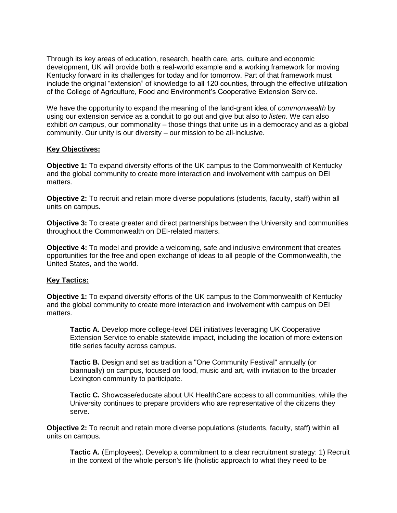Through its key areas of education, research, health care, arts, culture and economic development, UK will provide both a real-world example and a working framework for moving Kentucky forward in its challenges for today and for tomorrow. Part of that framework must include the original "extension" of knowledge to all 120 counties, through the effective utilization of the College of Agriculture, Food and Environment's Cooperative Extension Service.

We have the opportunity to expand the meaning of the land-grant idea of *commonwealth* by using our extension service as a conduit to go out and give but also to *listen*. We can also exhibit *on campus*, our commonality – those things that unite us in a democracy and as a global community. Our unity is our diversity – our mission to be all-inclusive.

## **Key Objectives:**

**Objective 1:** To expand diversity efforts of the UK campus to the Commonwealth of Kentucky and the global community to create more interaction and involvement with campus on DEI matters.

**Objective 2:** To recruit and retain more diverse populations (students, faculty, staff) within all units on campus.

**Objective 3:** To create greater and direct partnerships between the University and communities throughout the Commonwealth on DEI-related matters.

**Objective 4:** To model and provide a welcoming, safe and inclusive environment that creates opportunities for the free and open exchange of ideas to all people of the Commonwealth, the United States, and the world.

## **Key Tactics:**

**Objective 1:** To expand diversity efforts of the UK campus to the Commonwealth of Kentucky and the global community to create more interaction and involvement with campus on DEI matters.

**Tactic A.** Develop more college-level DEI initiatives leveraging UK Cooperative Extension Service to enable statewide impact, including the location of more extension title series faculty across campus.

**Tactic B.** Design and set as tradition a "One Community Festival" annually (or biannually) on campus, focused on food, music and art, with invitation to the broader Lexington community to participate.

**Tactic C.** Showcase/educate about UK HealthCare access to all communities, while the University continues to prepare providers who are representative of the citizens they serve.

**Objective 2:** To recruit and retain more diverse populations (students, faculty, staff) within all units on campus.

**Tactic A.** (Employees). Develop a commitment to a clear recruitment strategy: 1) Recruit in the context of the whole person's life (holistic approach to what they need to be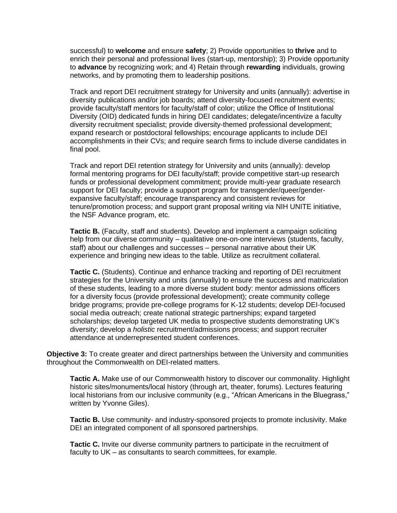successful) to **welcome** and ensure **safety**; 2) Provide opportunities to **thrive** and to enrich their personal and professional lives (start-up, mentorship); 3) Provide opportunity to **advance** by recognizing work; and 4) Retain through **rewarding** individuals, growing networks, and by promoting them to leadership positions.

Track and report DEI recruitment strategy for University and units (annually): advertise in diversity publications and/or job boards; attend diversity-focused recruitment events; provide faculty/staff mentors for faculty/staff of color; utilize the Office of Institutional Diversity (OID) dedicated funds in hiring DEI candidates; delegate/incentivize a faculty diversity recruitment specialist; provide diversity-themed professional development; expand research or postdoctoral fellowships; encourage applicants to include DEI accomplishments in their CVs; and require search firms to include diverse candidates in final pool.

Track and report DEI retention strategy for University and units (annually): develop formal mentoring programs for DEI faculty/staff; provide competitive start-up research funds or professional development commitment; provide multi-year graduate research support for DEI faculty; provide a support program for transgender/queer/genderexpansive faculty/staff; encourage transparency and consistent reviews for tenure/promotion process; and support grant proposal writing via NIH UNITE initiative, the NSF Advance program, etc.

**Tactic B.** (Faculty, staff and students). Develop and implement a campaign soliciting help from our diverse community – qualitative one-on-one interviews (students, faculty, staff) about our challenges and successes – personal narrative about their UK experience and bringing new ideas to the table. Utilize as recruitment collateral.

**Tactic C.** (Students). Continue and enhance tracking and reporting of DEI recruitment strategies for the University and units (annually) to ensure the success and matriculation of these students, leading to a more diverse student body: mentor admissions officers for a diversity focus (provide professional development); create community college bridge programs; provide pre-college programs for K-12 students; develop DEI-focused social media outreach; create national strategic partnerships; expand targeted scholarships; develop targeted UK media to prospective students demonstrating UK's diversity; develop a *holistic* recruitment/admissions process; and support recruiter attendance at underrepresented student conferences.

**Objective 3:** To create greater and direct partnerships between the University and communities throughout the Commonwealth on DEI-related matters.

**Tactic A.** Make use of our Commonwealth history to discover our commonality. Highlight historic sites/monuments/local history (through art, theater, forums). Lectures featuring local historians from our inclusive community (e.g., "African Americans in the Bluegrass," written by Yvonne Giles).

**Tactic B.** Use community- and industry-sponsored projects to promote inclusivity. Make DEI an integrated component of all sponsored partnerships.

**Tactic C.** Invite our diverse community partners to participate in the recruitment of faculty to UK – as consultants to search committees, for example.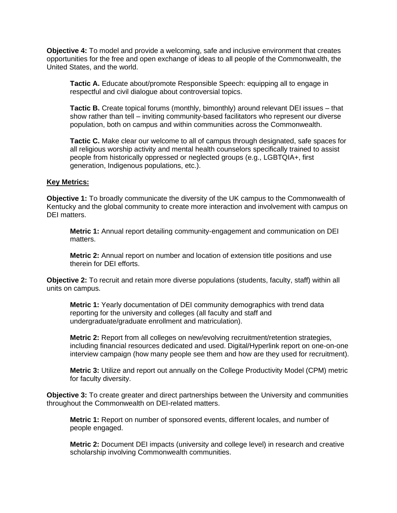**Objective 4:** To model and provide a welcoming, safe and inclusive environment that creates opportunities for the free and open exchange of ideas to all people of the Commonwealth, the United States, and the world.

**Tactic A.** Educate about/promote Responsible Speech: equipping all to engage in respectful and civil dialogue about controversial topics.

**Tactic B.** Create topical forums (monthly, bimonthly) around relevant DEI issues – that show rather than tell – inviting community-based facilitators who represent our diverse population, both on campus and within communities across the Commonwealth.

**Tactic C.** Make clear our welcome to all of campus through designated, safe spaces for all religious worship activity and mental health counselors specifically trained to assist people from historically oppressed or neglected groups (e.g., LGBTQIA+, first generation, Indigenous populations, etc.).

### **Key Metrics:**

**Objective 1:** To broadly communicate the diversity of the UK campus to the Commonwealth of Kentucky and the global community to create more interaction and involvement with campus on DEI matters.

**Metric 1:** Annual report detailing community-engagement and communication on DEI matters.

**Metric 2:** Annual report on number and location of extension title positions and use therein for DEI efforts.

**Objective 2:** To recruit and retain more diverse populations (students, faculty, staff) within all units on campus.

**Metric 1:** Yearly documentation of DEI community demographics with trend data reporting for the university and colleges (all faculty and staff and undergraduate/graduate enrollment and matriculation).

**Metric 2:** Report from all colleges on new/evolving recruitment/retention strategies, including financial resources dedicated and used. Digital/Hyperlink report on one-on-one interview campaign (how many people see them and how are they used for recruitment).

**Metric 3:** Utilize and report out annually on the College Productivity Model (CPM) metric for faculty diversity.

**Objective 3:** To create greater and direct partnerships between the University and communities throughout the Commonwealth on DEI-related matters.

**Metric 1:** Report on number of sponsored events, different locales, and number of people engaged.

**Metric 2:** Document DEI impacts (university and college level) in research and creative scholarship involving Commonwealth communities.